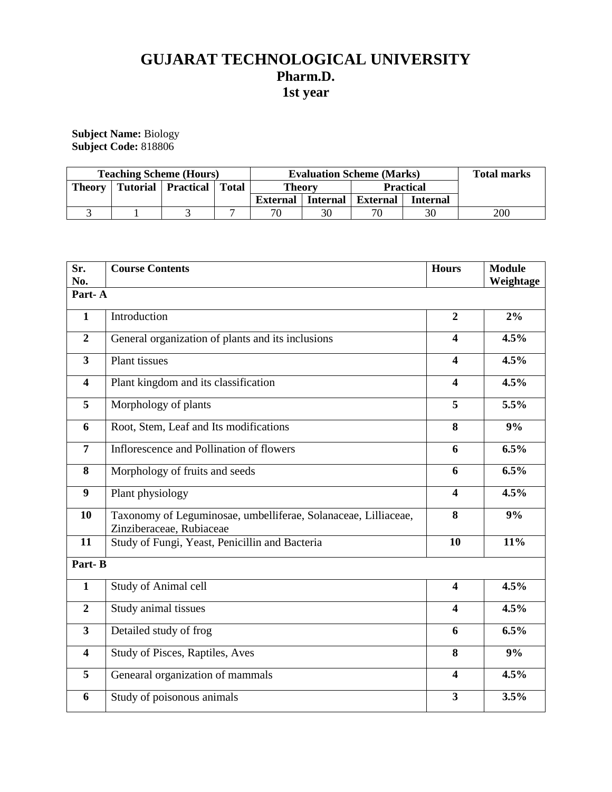# **GUJARAT TECHNOLOGICAL UNIVERSITY Pharm.D. 1st year**

**Subject Name:** Biology **Subject Code:** 818806

| <b>Teaching Scheme (Hours)</b> |  |                      |              | <b>Evaluation Scheme (Marks)</b> |                 |                  |                 | <b>Total marks</b> |
|--------------------------------|--|----------------------|--------------|----------------------------------|-----------------|------------------|-----------------|--------------------|
| <b>Theory</b>                  |  | Tutorial   Practical | <b>Total</b> | <b>Theory</b>                    |                 | <b>Practical</b> |                 |                    |
|                                |  |                      |              | External                         | <b>Internal</b> | <b>External</b>  | <b>Internal</b> |                    |
|                                |  |                      |              | 70                               | 30              | 70               | 30              | 200                |

| Sr.<br>No.              | <b>Course Contents</b>                                                                     |                         | <b>Module</b><br>Weightage |  |  |  |
|-------------------------|--------------------------------------------------------------------------------------------|-------------------------|----------------------------|--|--|--|
| Part-A                  |                                                                                            |                         |                            |  |  |  |
| $\mathbf{1}$            | Introduction                                                                               | $\overline{2}$          | 2%                         |  |  |  |
| $\overline{2}$          | General organization of plants and its inclusions                                          | $\overline{\mathbf{4}}$ | 4.5%                       |  |  |  |
| $\overline{\mathbf{3}}$ | <b>Plant</b> tissues                                                                       | $\overline{\mathbf{4}}$ | 4.5%                       |  |  |  |
| $\overline{\mathbf{4}}$ | Plant kingdom and its classification                                                       | $\overline{\mathbf{4}}$ | 4.5%                       |  |  |  |
| 5                       | Morphology of plants                                                                       | 5                       | 5.5%                       |  |  |  |
| 6                       | Root, Stem, Leaf and Its modifications                                                     | 8                       | 9%                         |  |  |  |
| $\overline{7}$          | Inflorescence and Pollination of flowers                                                   | 6                       | 6.5%                       |  |  |  |
| 8                       | Morphology of fruits and seeds                                                             | 6                       | 6.5%                       |  |  |  |
| $\boldsymbol{9}$        | Plant physiology                                                                           | $\overline{\mathbf{4}}$ | 4.5%                       |  |  |  |
| 10                      | Taxonomy of Leguminosae, umbelliferae, Solanaceae, Lilliaceae,<br>Zinziberaceae, Rubiaceae |                         | 9%                         |  |  |  |
| 11                      | Study of Fungi, Yeast, Penicillin and Bacteria                                             | 10                      | 11%                        |  |  |  |
| Part-B                  |                                                                                            |                         |                            |  |  |  |
| $\mathbf{1}$            | Study of Animal cell                                                                       | $\overline{\mathbf{4}}$ | 4.5%                       |  |  |  |
| $\overline{2}$          | Study animal tissues                                                                       | $\overline{\mathbf{4}}$ | 4.5%                       |  |  |  |
| $\mathbf{3}$            | Detailed study of frog                                                                     | 6                       | 6.5%                       |  |  |  |
| $\overline{\mathbf{4}}$ | Study of Pisces, Raptiles, Aves                                                            | 8                       | 9%                         |  |  |  |
| 5                       | Genearal organization of mammals                                                           | $\overline{\mathbf{4}}$ | 4.5%                       |  |  |  |
| 6                       | Study of poisonous animals                                                                 | $\overline{\mathbf{3}}$ | 3.5%                       |  |  |  |